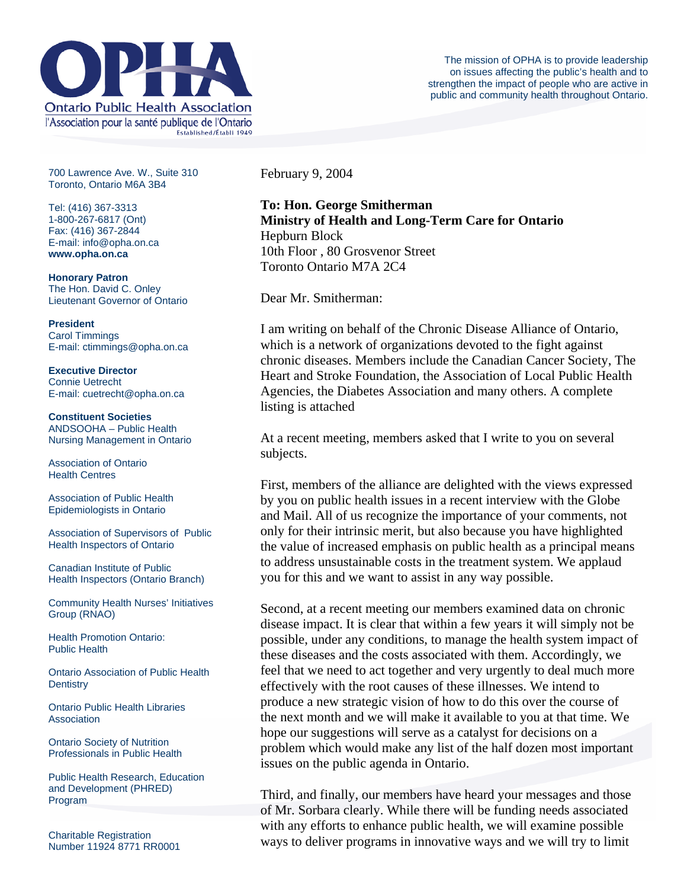

700 Lawrence Ave. W., Suite 310 Toronto, Ontario M6A 3B4

Tel: (416) 367-3313 1-800-267-6817 (Ont) Fax: (416) 367-2844 E-mail: info@opha.on.ca **www.opha.on.ca** 

**Honorary Patron**  The Hon. David C. Onley Lieutenant Governor of Ontario

**President**  Carol Timmings E-mail: ctimmings@opha.on.ca

**Executive Director**  Connie Uetrecht E-mail: cuetrecht@opha.on.ca

**Constituent Societies**  ANDSOOHA – Public Health Nursing Management in Ontario

Association of Ontario Health Centres

Association of Public Health Epidemiologists in Ontario

Association of Supervisors of Public Health Inspectors of Ontario

Canadian Institute of Public Health Inspectors (Ontario Branch)

Community Health Nurses' Initiatives Group (RNAO)

Health Promotion Ontario: Public Health

Ontario Association of Public Health **Dentistry** 

Ontario Public Health Libraries **Association** 

Ontario Society of Nutrition Professionals in Public Health

Public Health Research, Education and Development (PHRED) Program

Charitable Registration Number 11924 8771 RR0001 February 9, 2004

**To: Hon. George Smitherman Ministry of Health and Long-Term Care for Ontario** Hepburn Block 10th Floor , 80 Grosvenor Street Toronto Ontario M7A 2C4

Dear Mr. Smitherman:

I am writing on behalf of the Chronic Disease Alliance of Ontario, which is a network of organizations devoted to the fight against chronic diseases. Members include the Canadian Cancer Society, The Heart and Stroke Foundation, the Association of Local Public Health Agencies, the Diabetes Association and many others. A complete listing is attached

At a recent meeting, members asked that I write to you on several subjects.

First, members of the alliance are delighted with the views expressed by you on public health issues in a recent interview with the Globe and Mail. All of us recognize the importance of your comments, not only for their intrinsic merit, but also because you have highlighted the value of increased emphasis on public health as a principal means to address unsustainable costs in the treatment system. We applaud you for this and we want to assist in any way possible.

Second, at a recent meeting our members examined data on chronic disease impact. It is clear that within a few years it will simply not be possible, under any conditions, to manage the health system impact of these diseases and the costs associated with them. Accordingly, we feel that we need to act together and very urgently to deal much more effectively with the root causes of these illnesses. We intend to produce a new strategic vision of how to do this over the course of the next month and we will make it available to you at that time. We hope our suggestions will serve as a catalyst for decisions on a problem which would make any list of the half dozen most important issues on the public agenda in Ontario.

Third, and finally, our members have heard your messages and those of Mr. Sorbara clearly. While there will be funding needs associated with any efforts to enhance public health, we will examine possible ways to deliver programs in innovative ways and we will try to limit